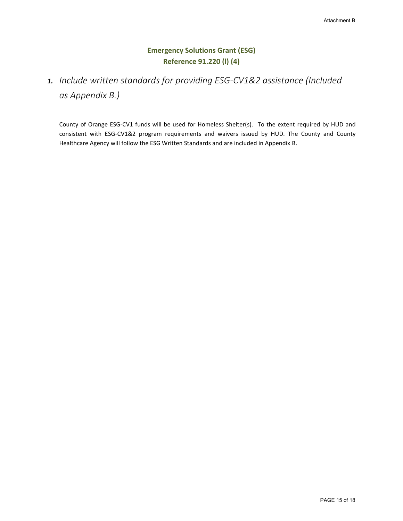#### **Emergency Solutions Grant (ESG) Reference 91.220 (l) (4)**

### *1. Include written standards for providing ESG-CV1&2 assistance (Included as Appendix B.)*

County of Orange ESG-CV1 funds will be used for Homeless Shelter(s). To the extent required by HUD and consistent with ESG-CV1&2 program requirements and waivers issued by HUD. The County and County Healthcare Agency will follow the ESG Written Standards and are included in Appendix B.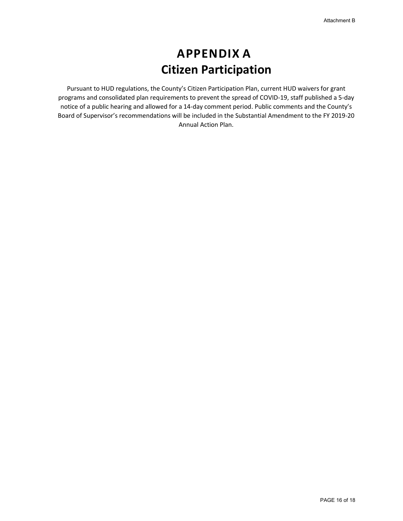# **APPENDIX A Citizen Participation**

Pursuant to HUD regulations, the County's Citizen Participation Plan, current HUD waivers for grant programs and consolidated plan requirements to prevent the spread of COVID-19, staff published a 5-day notice of a public hearing and allowed for a 14-day comment period. Public comments and the County's Board of Supervisor's recommendations will be included in the Substantial Amendment to the FY 2019-20 Annual Action Plan.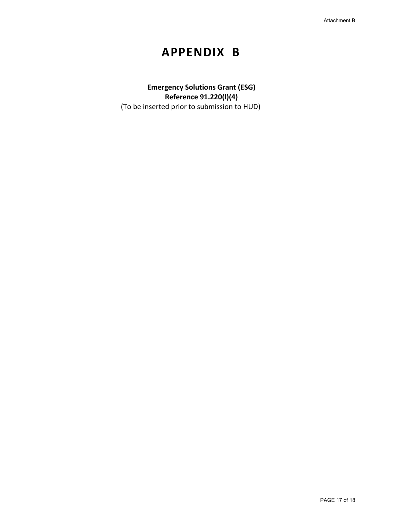## **APPENDIX B**

**Emergency Solutions Grant (ESG) Reference 91.220(l)(4)** (To be inserted prior to submission to HUD)